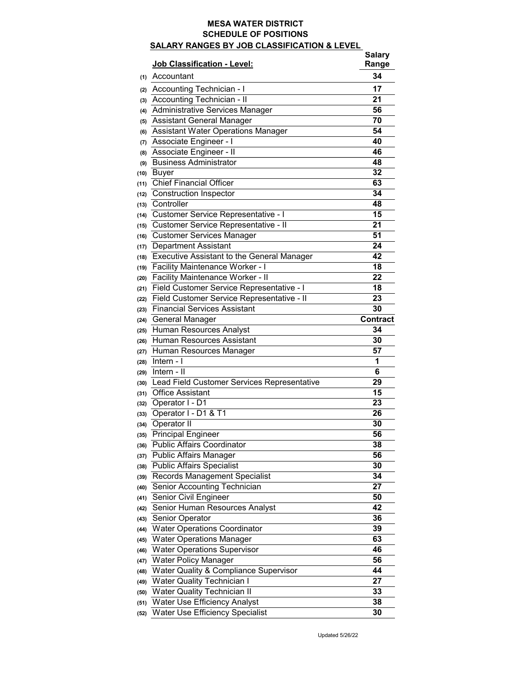## **MESA WATER DISTRICT SCHEDULE OF POSITIONS SALARY RANGES BY JOB CLASSIFICATION & LEVEL**

|      | <b>Job Classification - Level:</b>                | <b>Salary</b><br>Range |
|------|---------------------------------------------------|------------------------|
| (1)  | Accountant                                        | 34                     |
| (2)  | <b>Accounting Technician - I</b>                  | 17                     |
| (3)  | <b>Accounting Technician - II</b>                 | 21                     |
| (4)  | <b>Administrative Services Manager</b>            | 56                     |
| (5)  | <b>Assistant General Manager</b>                  | 70                     |
| (6)  | <b>Assistant Water Operations Manager</b>         | 54                     |
| (7)  | <b>Associate Engineer - I</b>                     | 40                     |
| (8)  | Associate Engineer - II                           | 46                     |
| (9)  | <b>Business Administrator</b>                     | 48                     |
| (10) | <b>Buyer</b>                                      | 32                     |
| (11) | <b>Chief Financial Officer</b>                    | 63                     |
| (12) | <b>Construction Inspector</b>                     | 34                     |
| (13) | Controller                                        | 48                     |
| (14) | <b>Customer Service Representative - I</b>        | 15                     |
| (15) | <b>Customer Service Representative - Il</b>       | 21                     |
| (16) | <b>Customer Services Manager</b>                  | 51                     |
| (17) | <b>Department Assistant</b>                       | 24                     |
| (18) | <b>Executive Assistant to the General Manager</b> | 42                     |
| (19) | <b>Facility Maintenance Worker - I</b>            | 18                     |
| (20) | <b>Facility Maintenance Worker - II</b>           | 22                     |
| (21) | Field Customer Service Representative - I         | 18                     |
| (22) | Field Customer Service Representative - II        | 23                     |
| (23) | <b>Financial Services Assistant</b>               | 30                     |
| (24) | <b>General Manager</b>                            | <b>Contract</b>        |
| (25) | <b>Human Resources Analyst</b>                    | 34                     |
| (26) | <b>Human Resources Assistant</b>                  | 30                     |
| (27) | Human Resources Manager                           | 57                     |
| (28) | Intern - I                                        | 1                      |
| (29) | Intern - II                                       | 6                      |
| (30) | Lead Field Customer Services Representative       | 29                     |
| (31) | <b>Office Assistant</b>                           | 15                     |
| (32) | Operator I - D1                                   | 23                     |
| (33) | Operator I - D1 & T1                              | 26                     |
| (34) | <b>Operator II</b>                                | 30                     |
| (35) | <b>Principal Engineer</b>                         | 56                     |
| (36) | <b>Public Affairs Coordinator</b>                 | 38                     |
| (37) | <b>Public Affairs Manager</b>                     | 56                     |
| (38) | <b>Public Affairs Specialist</b>                  | 30                     |
| (39) | <b>Records Management Specialist</b>              | 34                     |
| (40) | <b>Senior Accounting Technician</b>               | 27                     |
| (41) | Senior Civil Engineer                             | 50                     |
| (42) | <b>Senior Human Resources Analyst</b>             | 42                     |
| (43) | <b>Senior Operator</b>                            | 36                     |
| (44) | <b>Water Operations Coordinator</b>               | 39                     |
| (45) | <b>Water Operations Manager</b>                   | 63                     |
| (46) | <b>Water Operations Supervisor</b>                | 46                     |
| (47) | <b>Water Policy Manager</b>                       | 56                     |
| (48) | <b>Water Quality &amp; Compliance Supervisor</b>  | 44                     |
| (49) | <b>Water Quality Technician I</b>                 | 27                     |
| (50) | <b>Water Quality Technician II</b>                | 33                     |
| (51) | <b>Water Use Efficiency Analyst</b>               | 38                     |
| (52) | <b>Water Use Efficiency Specialist</b>            | 30                     |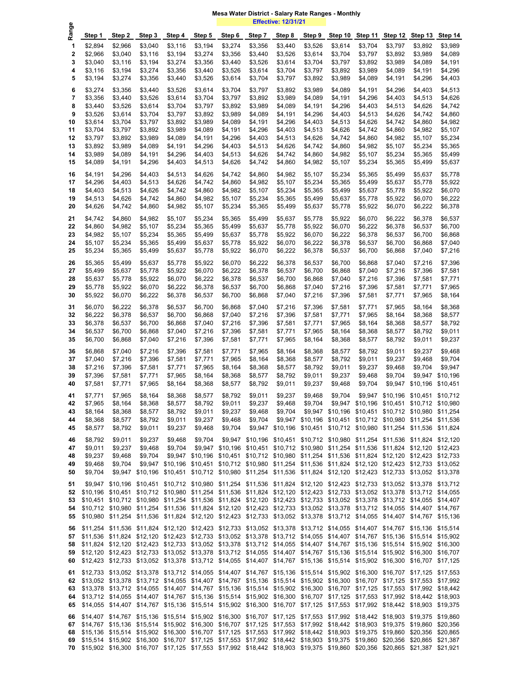**Effective: 12/31/21**

| Φ<br>Rang   |                    |                    |                    |                    |                    |                    |                    | <u>еподито, таго па</u> |                                                                                                                                                                                                                                                       |                      |                      |                      |                      |                      |
|-------------|--------------------|--------------------|--------------------|--------------------|--------------------|--------------------|--------------------|-------------------------|-------------------------------------------------------------------------------------------------------------------------------------------------------------------------------------------------------------------------------------------------------|----------------------|----------------------|----------------------|----------------------|----------------------|
|             | Step 1             | Step 2             | Step 3             | Step 4             | Step 5             | Step 6             | Step 7             | Step 8                  | Step 9                                                                                                                                                                                                                                                | Step 10              | Step 11              | Step 12              | Step 13              | Step 14              |
| 1           | \$2,894            | \$2,966            | \$3,040            | \$3,116            | \$3,194            | \$3,274            | \$3,356            | \$3,440                 | \$3,526                                                                                                                                                                                                                                               | \$3,614              | \$3,704              | \$3,797              | \$3,892              | \$3,989              |
| $\mathbf 2$ | \$2,966<br>\$3,040 | \$3,040            | \$3,116            | \$3,194            | \$3,274<br>\$3,356 | \$3,356            | \$3,440            | \$3,526                 | \$3,614<br>\$3,704                                                                                                                                                                                                                                    | \$3,704<br>\$3,797   | \$3,797<br>\$3,892   | \$3,892<br>\$3,989   | \$3,989              | \$4,089<br>\$4,191   |
| 3<br>4      | \$3,116            | \$3,116<br>\$3,194 | \$3,194<br>\$3,274 | \$3,274<br>\$3,356 | \$3,440            | \$3,440<br>\$3,526 | \$3,526<br>\$3,614 | \$3,614<br>\$3,704      | \$3,797                                                                                                                                                                                                                                               | \$3,892              | \$3,989              | \$4,089              | \$4,089<br>\$4,191   | \$4,296              |
| 5           | \$3,194            | \$3,274            | \$3,356            | \$3,440            | \$3,526            | \$3,614            | \$3,704            | \$3,797                 | \$3,892                                                                                                                                                                                                                                               | \$3,989              | \$4,089              | \$4,191              | \$4,296              | \$4,403              |
| 6           | \$3,274            | \$3,356            | \$3,440            | \$3,526            | \$3,614            | \$3,704            | \$3,797            | \$3,892                 | \$3,989                                                                                                                                                                                                                                               | \$4,089              | \$4,191              | \$4,296              | \$4,403              | \$4,513              |
| 7           | \$3,356            | \$3,440            | \$3,526            | \$3,614            | \$3,704            | \$3,797            | \$3,892            | \$3,989                 | \$4,089                                                                                                                                                                                                                                               | \$4,191              | \$4,296              | \$4,403              | \$4,513              | \$4,626              |
| 8           | \$3,440            | \$3,526            | \$3,614            | \$3,704            | \$3,797            | \$3,892            | \$3,989            | \$4,089                 | \$4,191                                                                                                                                                                                                                                               | \$4,296              | \$4,403              | \$4,513              | \$4,626              | \$4,742              |
| 9           | \$3,526            | \$3,614            | \$3,704            | \$3,797            | \$3,892            | \$3,989            | \$4,089            | \$4,191                 | \$4,296                                                                                                                                                                                                                                               | \$4,403              | \$4,513              | \$4,626              | \$4,742              | \$4,860              |
| 10          | \$3,614            | \$3,704            | \$3,797            | \$3,892            | \$3,989            | \$4,089            | \$4,191            | \$4,296                 | \$4,403                                                                                                                                                                                                                                               | \$4,513              | \$4,626              | \$4,742              | \$4,860              | \$4,982              |
| 11          | \$3,704            | \$3,797            | \$3,892            | \$3,989            | \$4,089            | \$4,191            | \$4,296            | \$4,403                 | \$4,513                                                                                                                                                                                                                                               | \$4,626              | \$4,742              | \$4,860              | \$4,982              | \$5,107              |
| 12<br>13    | \$3,797<br>\$3,892 | \$3,892<br>\$3,989 | \$3,989<br>\$4,089 | \$4,089<br>\$4,191 | \$4,191<br>\$4,296 | \$4,296<br>\$4,403 | \$4,403<br>\$4,513 | \$4,513<br>\$4,626      | \$4,626<br>\$4,742                                                                                                                                                                                                                                    | \$4,742<br>\$4,860   | \$4,860<br>\$4,982   | \$4,982<br>\$5,107   | \$5,107<br>\$5,234   | \$5,234<br>\$5,365   |
| 14          | \$3,989            | \$4,089            | \$4,191            | \$4,296            | \$4,403            | \$4,513            | \$4,626            | \$4,742                 | \$4,860                                                                                                                                                                                                                                               | \$4,982              | \$5,107              | \$5,234              | \$5,365              | \$5,499              |
| 15          | \$4,089            | \$4,191            | \$4,296            | \$4,403            | \$4,513            | \$4,626            | \$4,742            | \$4,860                 | \$4,982                                                                                                                                                                                                                                               | \$5,107              | \$5,234              | \$5,365              | \$5,499              | \$5,637              |
| 16          | \$4,191            | \$4,296            | \$4,403            | \$4,513            | \$4,626            | \$4,742            | \$4,860            | \$4,982                 | \$5,107                                                                                                                                                                                                                                               | \$5,234              | \$5,365              | \$5,499              | \$5,637              | \$5,778              |
| 17          | \$4,296            | \$4,403            | \$4,513            | \$4,626            | \$4,742            | \$4,860            | \$4,982            | \$5,107                 | \$5,234                                                                                                                                                                                                                                               | \$5,365              | \$5,499              | \$5,637              | \$5,778              | \$5,922              |
| 18          | \$4,403            | \$4,513            | \$4,626            | \$4,742            | \$4,860            | \$4,982            | \$5,107            | \$5,234                 | \$5,365                                                                                                                                                                                                                                               | \$5,499              | \$5,637              | \$5,778              | \$5,922              | \$6,070              |
| 19          | \$4,513            | \$4,626            | \$4,742            | \$4,860            | \$4,982            | \$5,107            | \$5,234            | \$5,365                 | \$5,499                                                                                                                                                                                                                                               | \$5,637              | \$5,778              | \$5,922              | \$6,070              | \$6,222              |
| 20          | \$4,626            | \$4,742            | \$4,860            | \$4,982            | \$5,107            | \$5,234            | \$5,365            | \$5,499                 | \$5,637                                                                                                                                                                                                                                               | \$5,778              | \$5,922              | \$6,070              | \$6,222              | \$6,378              |
| 21          | \$4,742            | \$4,860            | \$4,982            | \$5,107            | \$5,234            | \$5,365            | \$5,499            | \$5,637                 | \$5,778                                                                                                                                                                                                                                               | \$5,922              | \$6,070              | \$6,222              | \$6,378              | \$6,537              |
| 22          | \$4,860            | \$4,982            | \$5,107            | \$5,234            | \$5,365            | \$5,499            | \$5,637            | \$5,778                 | \$5,922                                                                                                                                                                                                                                               | \$6,070              | \$6,222              | \$6,378              | \$6,537              | \$6,700              |
| 23          | \$4,982            | \$5,107            | \$5,234            | \$5,365            | \$5,499            | \$5,637            | \$5,778            | \$5,922                 | \$6,070                                                                                                                                                                                                                                               | \$6,222              | \$6,378              | \$6,537              | \$6,700              | \$6,868              |
| 24          | \$5,107            | \$5,234            | \$5,365            | \$5,499            | \$5,637            | \$5,778            | \$5,922            | \$6,070                 | \$6,222                                                                                                                                                                                                                                               | \$6,378              | \$6,537              | \$6,700              | \$6,868              | \$7,040              |
| 25          | \$5,234            | \$5,365            | \$5,499            | \$5,637            | \$5,778            | \$5,922            | \$6,070            | \$6,222                 | \$6,378                                                                                                                                                                                                                                               | \$6,537              | \$6,700              | \$6,868              | \$7,040              | \$7,216              |
| 26          | \$5,365            | \$5,499            | \$5,637            | \$5,778            | \$5,922            | \$6,070            | \$6,222            | \$6,378                 | \$6,537                                                                                                                                                                                                                                               | \$6,700              | \$6,868              | \$7,040              | \$7,216              | \$7,396              |
| 27          | \$5,499            | \$5,637            | \$5,778            | \$5,922            | \$6,070            | \$6,222            | \$6,378            | \$6,537                 | \$6,700                                                                                                                                                                                                                                               | \$6,868              | \$7,040              | \$7,216              | \$7,396              | \$7,581              |
| 28<br>29    | \$5,637<br>\$5,778 | \$5,778<br>\$5,922 | \$5,922<br>\$6,070 | \$6,070<br>\$6,222 | \$6,222<br>\$6,378 | \$6,378<br>\$6,537 | \$6,537<br>\$6,700 | \$6,700<br>\$6,868      | \$6,868<br>\$7,040                                                                                                                                                                                                                                    | \$7,040<br>\$7,216   | \$7,216<br>\$7,396   | \$7,396<br>\$7,581   | \$7,581<br>\$7,771   | \$7,771<br>\$7,965   |
| 30          | \$5,922            | \$6,070            | \$6,222            | \$6,378            | \$6,537            | \$6,700            | \$6,868            | \$7,040                 | \$7,216                                                                                                                                                                                                                                               | \$7,396              | \$7,581              | \$7,771              | \$7,965              | \$8,164              |
|             |                    |                    |                    |                    |                    |                    |                    |                         |                                                                                                                                                                                                                                                       |                      |                      |                      |                      |                      |
| 31<br>32    | \$6,070<br>\$6,222 | \$6,222<br>\$6,378 | \$6,378<br>\$6,537 | \$6,537<br>\$6,700 | \$6,700<br>\$6,868 | \$6,868<br>\$7,040 | \$7,040<br>\$7,216 | \$7,216<br>\$7,396      | \$7,396<br>\$7,581                                                                                                                                                                                                                                    | \$7,581<br>\$7,771   | \$7,771<br>\$7,965   | \$7,965<br>\$8,164   | \$8,164<br>\$8,368   | \$8,368<br>\$8,577   |
| 33          | \$6,378            | \$6,537            | \$6,700            | \$6,868            | \$7,040            | \$7,216            | \$7,396            | \$7,581                 | \$7,771                                                                                                                                                                                                                                               | \$7,965              | \$8,164              | \$8,368              | \$8,577              | \$8,792              |
| 34          | \$6,537            | \$6,700            | \$6,868            | \$7,040            | \$7,216            | \$7,396            | \$7,581            | \$7,771                 | \$7,965                                                                                                                                                                                                                                               | \$8,164              | \$8,368              | \$8,577              | \$8,792              | \$9,011              |
| 35          | \$6,700            | \$6,868            | \$7,040            | \$7,216            | \$7,396            | \$7,581            | \$7,771            | \$7,965                 | \$8,164                                                                                                                                                                                                                                               | \$8,368              | \$8,577              | \$8,792              | \$9,011              | \$9,237              |
| 36          | \$6,868            | \$7,040            | \$7,216            | \$7,396            | \$7,581            | \$7,771            | \$7,965            | \$8,164                 | \$8,368                                                                                                                                                                                                                                               | \$8,577              | \$8,792              | \$9,011              | \$9,237              | \$9,468              |
| 37          | \$7,040            | \$7,216            | \$7,396            | \$7,581            | \$7,771            | \$7,965            | \$8,164            | \$8,368                 | \$8,577                                                                                                                                                                                                                                               | \$8,792              | \$9,011              | \$9,237              | \$9,468              | \$9,704              |
| 38          | \$7,216            | \$7,396            | \$7,581            | \$7,771            | \$7,965            | \$8,164            | \$8,368            | \$8,577                 | \$8,792                                                                                                                                                                                                                                               | \$9,011              | \$9,237              | \$9,468              | \$9,704              | \$9,947              |
| 39          | \$7,396            | \$7,581            | \$7,771            | \$7,965            | \$8,164            | \$8,368            | \$8,577            | \$8,792                 | \$9,011                                                                                                                                                                                                                                               | \$9,237              | \$9,468              | \$9,704              | \$9,947              | \$10,196             |
| 40          | \$7,581            | \$7,771            | \$7,965            | \$8,164            | \$8,368            | \$8,577            | \$8,792            | \$9,011                 | \$9,237                                                                                                                                                                                                                                               | \$9,468              | \$9,704              | \$9,947              | \$10,196             | \$10,451             |
| 41          | \$7,771            | \$7,965            | \$8,164            | \$8,368            | \$8,577            | \$8,792            | \$9,011            | \$9,237                 | \$9,468                                                                                                                                                                                                                                               | \$9,704              | \$9,947              | \$10,196             | \$10,451             | \$10,712             |
| 42          | \$7,965            | \$8,164            | \$8,368            | \$8,577            | \$8,792            | \$9,011            | \$9,237            | \$9,468                 | \$9,704                                                                                                                                                                                                                                               | \$9,947              | \$10,196             | \$10,451             | \$10,712             | \$10,980             |
| 43<br>44    | \$8,164<br>\$8,368 | \$8,368<br>\$8,577 | \$8,577<br>\$8,792 | \$8,792<br>\$9,011 | \$9,011<br>\$9,237 | \$9,237<br>\$9,468 | \$9,468<br>\$9,704 | \$9,704<br>\$9,947      | \$9,947<br>\$10,196                                                                                                                                                                                                                                   | \$10,196<br>\$10,451 | \$10,451<br>\$10,712 | \$10,712<br>\$10,980 | \$10,980<br>\$11,254 | \$11,254<br>\$11,536 |
| 45          | \$8,577            | \$8,792            | \$9,011            | \$9,237            | \$9,468            | \$9,704            | \$9,947            | \$10,196                | \$10,451                                                                                                                                                                                                                                              | \$10,712             | \$10,980             | \$11,254             | \$11,536             | \$11,824             |
| 46          | \$8,792            | \$9,011            | \$9,237            | \$9,468            | \$9,704            | \$9,947            | \$10,196           | \$10,451                | \$10,712                                                                                                                                                                                                                                              | \$10,980             | \$11,254             | \$11,536             | \$11,824             | \$12,120             |
| 47          | \$9,011            | \$9,237            | \$9,468            | \$9,704            | \$9,947            | \$10,196           | \$10,451           | \$10,712                | \$10,980                                                                                                                                                                                                                                              | \$11,254             | \$11,536             | \$11,824             | \$12,120             | \$12,423             |
| 48          | \$9,237            | \$9,468            | \$9,704            | \$9,947            | \$10,196           | \$10,451           | \$10,712           | \$10,980                | \$11,254                                                                                                                                                                                                                                              | \$11,536             | \$11,824             | \$12,120             | \$12,423             | \$12,733             |
| 49          | \$9,468            | \$9,704            | \$9,947            | \$10,196           | \$10,451           | \$10,712           | \$10,980           | \$11,254                | \$11,536                                                                                                                                                                                                                                              | \$11,824             | \$12,120             | \$12,423             | \$12,733             | \$13,052             |
| 50          | \$9,704            | \$9,947            | \$10,196           | \$10,451           | \$10,712           | \$10,980           | \$11,254           | \$11,536                | \$11,824                                                                                                                                                                                                                                              | \$12,120             | \$12,423             | \$12,733             | \$13,052             | \$13,378             |
| 51          |                    |                    |                    |                    |                    |                    |                    |                         | \$9,947 \$10,196 \$10,451 \$10,712 \$10,980 \$11,254 \$11,536 \$11,824 \$12,120 \$12,423 \$12,733 \$13,052 \$13,378 \$13,712                                                                                                                          |                      |                      |                      |                      |                      |
| 52          |                    |                    |                    |                    |                    |                    |                    |                         | \$10,196 \$10,451 \$10,712 \$10,980 \$11,254 \$11,536 \$11,824 \$12,120 \$12,423 \$12,733 \$13,052 \$13,378 \$13,712 \$14,055                                                                                                                         |                      |                      |                      |                      |                      |
| 53          |                    |                    |                    |                    |                    |                    |                    |                         | \$10,451 \$10,712 \$10,980 \$11,254 \$11,536 \$11,824 \$12,120 \$12,423 \$12,733 \$13,052 \$13,378 \$13,712 \$14,055                                                                                                                                  |                      |                      |                      |                      | \$14,407             |
| 54          |                    |                    |                    |                    |                    |                    |                    |                         | \$10,712 \$10,980 \$11,254 \$11,536 \$11,824 \$12,120 \$12,423 \$12,733 \$13,052 \$13,378 \$13,712 \$14,055 \$14,407                                                                                                                                  |                      |                      |                      |                      | \$14,767             |
| 55          |                    |                    |                    |                    |                    |                    |                    |                         | \$10,980 \$11,254 \$11,536 \$11,824 \$12,120 \$12,423 \$12,733 \$13,052 \$13,378 \$13,712 \$14,055 \$14,407 \$14,767 \$15,136                                                                                                                         |                      |                      |                      |                      |                      |
| 56          |                    |                    |                    |                    |                    |                    |                    |                         | \$11,254 \$11,536 \$11,824 \$12,120 \$12,423 \$12,733 \$13,052 \$13,378 \$13,712 \$14,055 \$14,407 \$14,767 \$15,136 \$15,514                                                                                                                         |                      |                      |                      |                      |                      |
| 57<br>58    |                    |                    |                    |                    |                    |                    |                    |                         | \$11,536 \$11,824 \$12,120 \$12,423 \$12,733 \$13,052 \$13,378 \$13,712 \$14,055 \$14,407 \$14,767 \$15,136 \$15,514 \$15,902<br>\$11,824 \$12,120 \$12,423 \$12,733 \$13,052 \$13,378 \$13,712 \$14,055 \$14,407 \$14,767 \$15,136 \$15,514 \$15,902 |                      |                      |                      |                      | \$16,300             |
| 59          |                    |                    |                    |                    |                    |                    |                    |                         | \$12,120 \$12,423 \$12,733 \$13,052 \$13,378 \$13,712 \$14,055 \$14,407 \$14,767 \$15,136 \$15,514 \$15,902 \$16,300                                                                                                                                  |                      |                      |                      |                      | \$16,707             |
| 60          |                    |                    |                    |                    |                    |                    |                    |                         | \$12,423 \$12,733 \$13,052 \$13,378 \$13,712 \$14,055 \$14,407 \$14,767 \$15,136 \$15,514 \$15,902 \$16,300 \$16,707                                                                                                                                  |                      |                      |                      |                      | \$17,125             |
| 61          |                    |                    |                    |                    |                    |                    |                    |                         | \$12,733 \$13,052 \$13,378 \$13,712 \$14,055 \$14,407 \$14,767 \$15,136 \$15,514 \$15,902 \$16,300 \$16,707 \$17,125 \$17,553                                                                                                                         |                      |                      |                      |                      |                      |
| 62          |                    |                    |                    |                    |                    |                    |                    |                         | \$13,052 \$13,378 \$13,712 \$14,055 \$14,407 \$14,767 \$15,136 \$15,514 \$15,902 \$16,300 \$16,707 \$17,125 \$17,553                                                                                                                                  |                      |                      |                      |                      | \$17,992             |
| 63          |                    |                    |                    |                    |                    |                    |                    |                         | \$13,378 \$13,712 \$14,055 \$14,407 \$14,767 \$15,136 \$15,514 \$15,902 \$16,300 \$16,707 \$17,125 \$17,553 \$17,992 \$18,442                                                                                                                         |                      |                      |                      |                      |                      |
| 64          |                    |                    |                    |                    |                    |                    |                    |                         | \$13,712 \$14,055 \$14,407 \$14,767 \$15,136 \$15,514 \$15,902 \$16,300 \$16,707 \$17,125 \$17,553 \$17,992 \$18,442 \$18,903                                                                                                                         |                      |                      |                      |                      |                      |
| 65          |                    |                    |                    |                    |                    |                    |                    |                         | \$14,055 \$14,407 \$14,767 \$15,136 \$15,514 \$15,902 \$16,300 \$16,707 \$17,125 \$17,553 \$17,992 \$18,442 \$18,903                                                                                                                                  |                      |                      |                      |                      | \$19,375             |
| 66          |                    |                    |                    |                    |                    |                    |                    |                         | \$14,407 \$14,767 \$15,136 \$15,514 \$15,902 \$16,300 \$16,707 \$17,125 \$17,553 \$17,992 \$18,442 \$18,903 \$19,375                                                                                                                                  |                      |                      |                      |                      | \$19,860             |
| 67          |                    |                    |                    |                    |                    |                    |                    |                         | \$14,767 \$15,136 \$15,514 \$15,902 \$16,300 \$16,707 \$17,125 \$17,553 \$17,992 \$18,442 \$18,903 \$19,375 \$19,860                                                                                                                                  |                      |                      |                      |                      | \$20,356             |
| 68          |                    |                    |                    |                    |                    |                    |                    |                         | \$15,136 \$15,514 \$15,902 \$16,300 \$16,707 \$17,125 \$17,553 \$17,992 \$18,442 \$18,903 \$19,375                                                                                                                                                    |                      |                      | \$19,860             | \$20,356             | \$20,865             |
| 69          |                    |                    |                    |                    |                    |                    |                    |                         | \$15,514 \$15,902 \$16,300 \$16,707 \$17,125 \$17,553 \$17,992 \$18,442 \$18,903 \$19,375 \$19,860 \$20,356 \$20,865                                                                                                                                  |                      |                      |                      |                      | \$21,387             |
| 70          |                    |                    |                    |                    |                    |                    |                    |                         | \$15,902 \$16,300 \$16,707 \$17,125 \$17,553 \$17,992 \$18,442 \$18,903 \$19,375 \$19,860 \$20,356 \$20,865 \$21,387                                                                                                                                  |                      |                      |                      |                      | \$21,921             |

## **Mesa Water District - Salary Rate Ranges - Monthly**